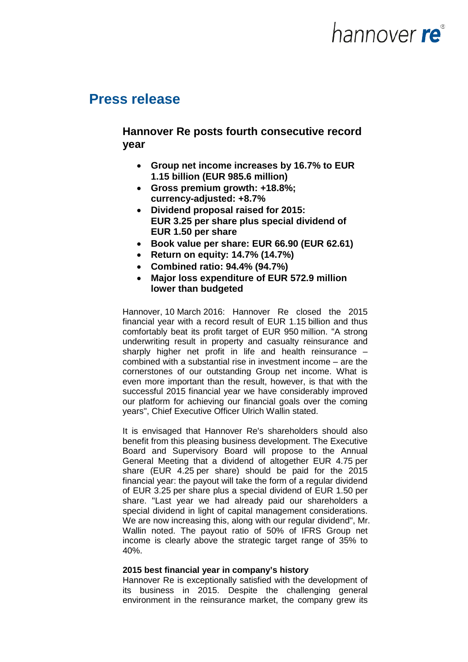# hannover **re**®

## **Press release**

### **Hannover Re posts fourth consecutive record year**

- **Group net income increases by 16.7% to EUR 1.15 billion (EUR 985.6 million)**
- **Gross premium growth: +18.8%; currency-adjusted: +8.7%**
- **Dividend proposal raised for 2015: EUR 3.25 per share plus special dividend of EUR 1.50 per share**
- **Book value per share: EUR 66.90 (EUR 62.61)**
- **Return on equity: 14.7% (14.7%)**
- **Combined ratio: 94.4% (94.7%)**
- **Major loss expenditure of EUR 572.9 million lower than budgeted**

Hannover, 10 March 2016: Hannover Re closed the 2015 financial year with a record result of EUR 1.15 billion and thus comfortably beat its profit target of EUR 950 million. "A strong underwriting result in property and casualty reinsurance and sharply higher net profit in life and health reinsurance – combined with a substantial rise in investment income – are the cornerstones of our outstanding Group net income. What is even more important than the result, however, is that with the successful 2015 financial year we have considerably improved our platform for achieving our financial goals over the coming years", Chief Executive Officer Ulrich Wallin stated.

It is envisaged that Hannover Re's shareholders should also benefit from this pleasing business development. The Executive Board and Supervisory Board will propose to the Annual General Meeting that a dividend of altogether EUR 4.75 per share (EUR 4.25 per share) should be paid for the 2015 financial year: the payout will take the form of a regular dividend of EUR 3.25 per share plus a special dividend of EUR 1.50 per share. "Last year we had already paid our shareholders a special dividend in light of capital management considerations. We are now increasing this, along with our regular dividend". Mr. Wallin noted. The payout ratio of 50% of IFRS Group net income is clearly above the strategic target range of 35% to 40%.

#### **2015 best financial year in company's history**

Hannover Re is exceptionally satisfied with the development of its business in 2015. Despite the challenging general environment in the reinsurance market, the company grew its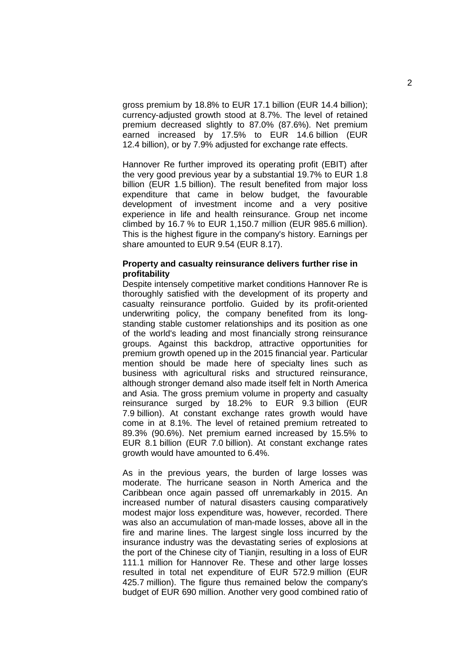gross premium by 18.8% to EUR 17.1 billion (EUR 14.4 billion); currency-adjusted growth stood at 8.7%. The level of retained premium decreased slightly to 87.0% (87.6%). Net premium earned increased by 17.5% to EUR 14.6 billion (EUR 12.4 billion), or by 7.9% adjusted for exchange rate effects.

Hannover Re further improved its operating profit (EBIT) after the very good previous year by a substantial 19.7% to EUR 1.8 billion (EUR 1.5 billion). The result benefited from major loss expenditure that came in below budget, the favourable development of investment income and a very positive experience in life and health reinsurance. Group net income climbed by 16.7 % to EUR 1,150.7 million (EUR 985.6 million). This is the highest figure in the company's history. Earnings per share amounted to EUR 9.54 (EUR 8.17).

#### **Property and casualty reinsurance delivers further rise in profitability**

Despite intensely competitive market conditions Hannover Re is thoroughly satisfied with the development of its property and casualty reinsurance portfolio. Guided by its profit-oriented underwriting policy, the company benefited from its longstanding stable customer relationships and its position as one of the world's leading and most financially strong reinsurance groups. Against this backdrop, attractive opportunities for premium growth opened up in the 2015 financial year. Particular mention should be made here of specialty lines such as business with agricultural risks and structured reinsurance, although stronger demand also made itself felt in North America and Asia. The gross premium volume in property and casualty reinsurance surged by 18.2% to EUR 9.3 billion (EUR 7.9 billion). At constant exchange rates growth would have come in at 8.1%. The level of retained premium retreated to 89.3% (90.6%). Net premium earned increased by 15.5% to EUR 8.1 billion (EUR 7.0 billion). At constant exchange rates growth would have amounted to 6.4%.

As in the previous years, the burden of large losses was moderate. The hurricane season in North America and the Caribbean once again passed off unremarkably in 2015. An increased number of natural disasters causing comparatively modest major loss expenditure was, however, recorded. There was also an accumulation of man-made losses, above all in the fire and marine lines. The largest single loss incurred by the insurance industry was the devastating series of explosions at the port of the Chinese city of Tianjin, resulting in a loss of EUR 111.1 million for Hannover Re. These and other large losses resulted in total net expenditure of EUR 572.9 million (EUR 425.7 million). The figure thus remained below the company's budget of EUR 690 million. Another very good combined ratio of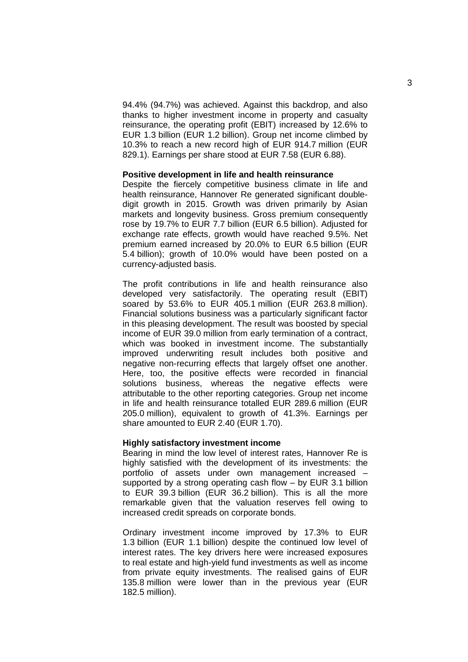94.4% (94.7%) was achieved. Against this backdrop, and also thanks to higher investment income in property and casualty reinsurance, the operating profit (EBIT) increased by 12.6% to EUR 1.3 billion (EUR 1.2 billion). Group net income climbed by 10.3% to reach a new record high of EUR 914.7 million (EUR 829.1). Earnings per share stood at EUR 7.58 (EUR 6.88).

#### **Positive development in life and health reinsurance**

Despite the fiercely competitive business climate in life and health reinsurance, Hannover Re generated significant doubledigit growth in 2015. Growth was driven primarily by Asian markets and longevity business. Gross premium consequently rose by 19.7% to EUR 7.7 billion (EUR 6.5 billion). Adjusted for exchange rate effects, growth would have reached 9.5%. Net premium earned increased by 20.0% to EUR 6.5 billion (EUR 5.4 billion); growth of 10.0% would have been posted on a currency-adjusted basis.

The profit contributions in life and health reinsurance also developed very satisfactorily. The operating result (EBIT) soared by 53.6% to EUR 405.1 million (EUR 263.8 million). Financial solutions business was a particularly significant factor in this pleasing development. The result was boosted by special income of EUR 39.0 million from early termination of a contract, which was booked in investment income. The substantially improved underwriting result includes both positive and negative non-recurring effects that largely offset one another. Here, too, the positive effects were recorded in financial solutions business, whereas the negative effects were attributable to the other reporting categories. Group net income in life and health reinsurance totalled EUR 289.6 million (EUR 205.0 million), equivalent to growth of 41.3%. Earnings per share amounted to EUR 2.40 (EUR 1.70).

#### **Highly satisfactory investment income**

Bearing in mind the low level of interest rates, Hannover Re is highly satisfied with the development of its investments: the portfolio of assets under own management increased – supported by a strong operating cash flow – by EUR 3.1 billion to EUR 39.3 billion (EUR 36.2 billion). This is all the more remarkable given that the valuation reserves fell owing to increased credit spreads on corporate bonds.

Ordinary investment income improved by 17.3% to EUR 1.3 billion (EUR 1.1 billion) despite the continued low level of interest rates. The key drivers here were increased exposures to real estate and high-yield fund investments as well as income from private equity investments. The realised gains of EUR 135.8 million were lower than in the previous year (EUR 182.5 million).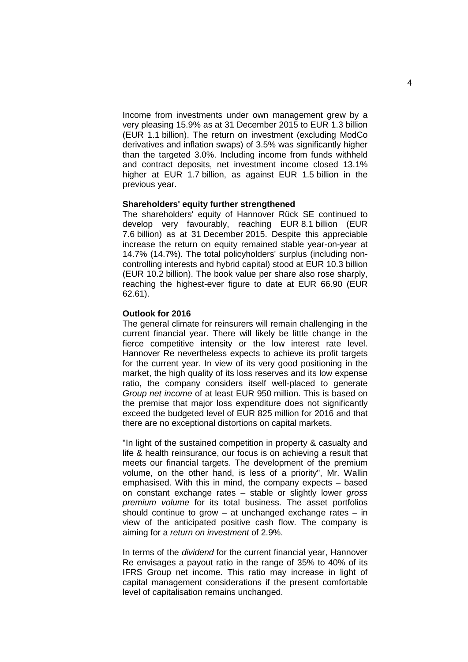Income from investments under own management grew by a very pleasing 15.9% as at 31 December 2015 to EUR 1.3 billion (EUR 1.1 billion). The return on investment (excluding ModCo derivatives and inflation swaps) of 3.5% was significantly higher than the targeted 3.0%. Including income from funds withheld and contract deposits, net investment income closed 13.1% higher at EUR 1.7 billion, as against EUR 1.5 billion in the previous year.

#### **Shareholders' equity further strengthened**

The shareholders' equity of Hannover Rück SE continued to develop very favourably, reaching EUR 8.1 billion (EUR 7.6 billion) as at 31 December 2015. Despite this appreciable increase the return on equity remained stable year-on-year at 14.7% (14.7%). The total policyholders' surplus (including noncontrolling interests and hybrid capital) stood at EUR 10.3 billion (EUR 10.2 billion). The book value per share also rose sharply, reaching the highest-ever figure to date at EUR 66.90 (EUR 62.61).

#### **Outlook for 2016**

The general climate for reinsurers will remain challenging in the current financial year. There will likely be little change in the fierce competitive intensity or the low interest rate level. Hannover Re nevertheless expects to achieve its profit targets for the current year. In view of its very good positioning in the market, the high quality of its loss reserves and its low expense ratio, the company considers itself well-placed to generate *Group net income* of at least EUR 950 million. This is based on the premise that major loss expenditure does not significantly exceed the budgeted level of EUR 825 million for 2016 and that there are no exceptional distortions on capital markets.

"In light of the sustained competition in property & casualty and life & health reinsurance, our focus is on achieving a result that meets our financial targets. The development of the premium volume, on the other hand, is less of a priority", Mr. Wallin emphasised. With this in mind, the company expects – based on constant exchange rates – stable or slightly lower *gross premium volume* for its total business. The asset portfolios should continue to grow  $-$  at unchanged exchange rates  $-$  in view of the anticipated positive cash flow. The company is aiming for a *return on investment* of 2.9%.

In terms of the *dividend* for the current financial year, Hannover Re envisages a payout ratio in the range of 35% to 40% of its IFRS Group net income. This ratio may increase in light of capital management considerations if the present comfortable level of capitalisation remains unchanged.